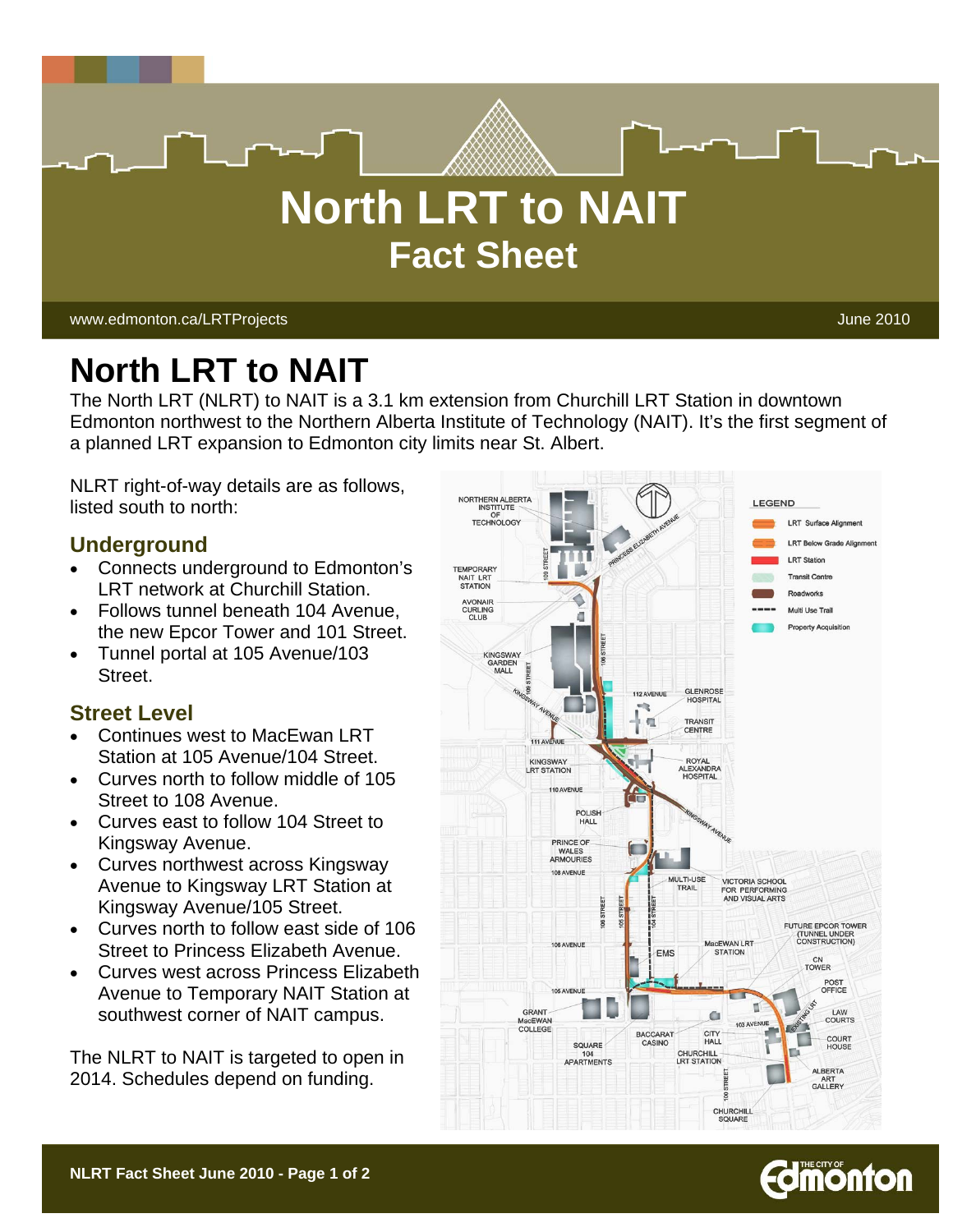

# **North LRT to NAIT**

The North LRT (NLRT) to NAIT is a 3.1 km extension from Churchill LRT Station in downtown Edmonton northwest to the Northern Alberta Institute of Technology (NAIT). It's the first segment of a planned LRT expansion to Edmonton city limits near St. Albert.

NLRT right-of-way details are as follows, listed south to north:

## **Underground**

- Connects underground to Edmonton's LRT network at Churchill Station.
- Follows tunnel beneath 104 Avenue, the new Epcor Tower and 101 Street.
- Tunnel portal at 105 Avenue/103 Street.

## **Street Level**

- Continues west to MacEwan LRT Station at 105 Avenue/104 Street.
- Curves north to follow middle of 105 Street to 108 Avenue.
- Curves east to follow 104 Street to Kingsway Avenue.
- Curves northwest across Kingsway Avenue to Kingsway LRT Station at Kingsway Avenue/105 Street.
- Curves north to follow east side of 106 Street to Princess Elizabeth Avenue.
- Curves west across Princess Elizabeth Avenue to Temporary NAIT Station at southwest corner of NAIT campus.

The NLRT to NAIT is targeted to open in 2014. Schedules depend on funding.